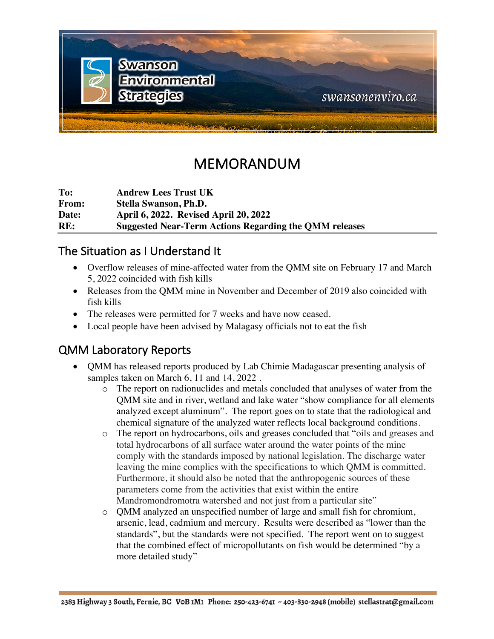

# MEMORANDUM

**To: Andrew Lees Trust UK From: Stella Swanson, Ph.D. Date: April 6, 2022. Revised April 20, 2022 RE: Suggested Near-Term Actions Regarding the QMM releases**

### The Situation as I Understand It

- Overflow releases of mine-affected water from the OMM site on February 17 and March 5, 2022 coincided with fish kills
- Releases from the QMM mine in November and December of 2019 also coincided with fish kills
- The releases were permitted for 7 weeks and have now ceased.
- Local people have been advised by Malagasy officials not to eat the fish

### QMM Laboratory Reports

- QMM has released reports produced by Lab Chimie Madagascar presenting analysis of samples taken on March 6, 11 and 14, 2022 .
	- o The report on radionuclides and metals concluded that analyses of water from the QMM site and in river, wetland and lake water "show compliance for all elements analyzed except aluminum". The report goes on to state that the radiological and chemical signature of the analyzed water reflects local background conditions.
	- o The report on hydrocarbons, oils and greases concluded that "oils and greases and total hydrocarbons of all surface water around the water points of the mine comply with the standards imposed by national legislation. The discharge water leaving the mine complies with the specifications to which QMM is committed. Furthermore, it should also be noted that the anthropogenic sources of these parameters come from the activities that exist within the entire Mandromondromotra watershed and not just from a particular site"
	- o QMM analyzed an unspecified number of large and small fish for chromium, arsenic, lead, cadmium and mercury. Results were described as "lower than the standards", but the standards were not specified. The report went on to suggest that the combined effect of micropollutants on fish would be determined "by a more detailed study"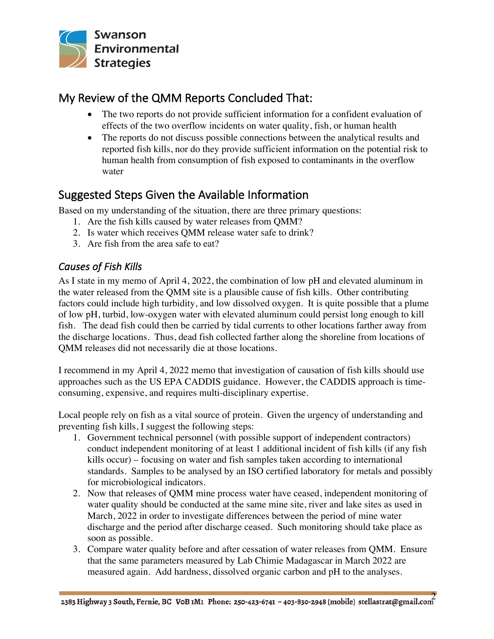

## My Review of the QMM Reports Concluded That:

- The two reports do not provide sufficient information for a confident evaluation of effects of the two overflow incidents on water quality, fish, or human health
- The reports do not discuss possible connections between the analytical results and reported fish kills, nor do they provide sufficient information on the potential risk to human health from consumption of fish exposed to contaminants in the overflow water

# Suggested Steps Given the Available Information

Based on my understanding of the situation, there are three primary questions:

- 1. Are the fish kills caused by water releases from QMM?
- 2. Is water which receives QMM release water safe to drink?
- 3. Are fish from the area safe to eat?

### *Causes of Fish Kills*

As I state in my memo of April 4, 2022, the combination of low pH and elevated aluminum in the water released from the QMM site is a plausible cause of fish kills. Other contributing factors could include high turbidity, and low dissolved oxygen. It is quite possible that a plume of low pH, turbid, low-oxygen water with elevated aluminum could persist long enough to kill fish. The dead fish could then be carried by tidal currents to other locations farther away from the discharge locations. Thus, dead fish collected farther along the shoreline from locations of QMM releases did not necessarily die at those locations.

I recommend in my April 4, 2022 memo that investigation of causation of fish kills should use approaches such as the US EPA CADDIS guidance. However, the CADDIS approach is timeconsuming, expensive, and requires multi-disciplinary expertise.

Local people rely on fish as a vital source of protein. Given the urgency of understanding and preventing fish kills, I suggest the following steps:

- 1. Government technical personnel (with possible support of independent contractors) conduct independent monitoring of at least 1 additional incident of fish kills (if any fish kills occur) – focusing on water and fish samples taken according to international standards. Samples to be analysed by an ISO certified laboratory for metals and possibly for microbiological indicators.
- 2. Now that releases of QMM mine process water have ceased, independent monitoring of water quality should be conducted at the same mine site, river and lake sites as used in March, 2022 in order to investigate differences between the period of mine water discharge and the period after discharge ceased. Such monitoring should take place as soon as possible.
- 3. Compare water quality before and after cessation of water releases from QMM. Ensure that the same parameters measured by Lab Chimie Madagascar in March 2022 are measured again. Add hardness, dissolved organic carbon and pH to the analyses.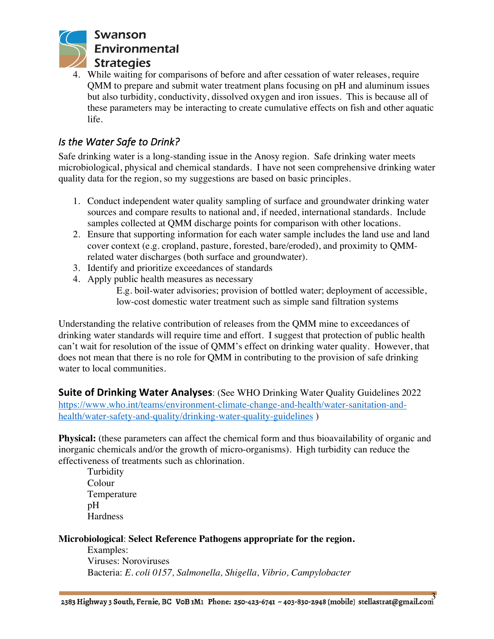

4. While waiting for comparisons of before and after cessation of water releases, require QMM to prepare and submit water treatment plans focusing on pH and aluminum issues but also turbidity, conductivity, dissolved oxygen and iron issues. This is because all of these parameters may be interacting to create cumulative effects on fish and other aquatic life.

#### *Is the Water Safe to Drink?*

Safe drinking water is a long-standing issue in the Anosy region. Safe drinking water meets microbiological, physical and chemical standards. I have not seen comprehensive drinking water quality data for the region, so my suggestions are based on basic principles.

- 1. Conduct independent water quality sampling of surface and groundwater drinking water sources and compare results to national and, if needed, international standards. Include samples collected at QMM discharge points for comparison with other locations.
- 2. Ensure that supporting information for each water sample includes the land use and land cover context (e.g. cropland, pasture, forested, bare/eroded), and proximity to QMMrelated water discharges (both surface and groundwater).
- 3. Identify and prioritize exceedances of standards
- 4. Apply public health measures as necessary

E.g. boil-water advisories; provision of bottled water; deployment of accessible, low-cost domestic water treatment such as simple sand filtration systems

Understanding the relative contribution of releases from the QMM mine to exceedances of drinking water standards will require time and effort. I suggest that protection of public health can't wait for resolution of the issue of QMM's effect on drinking water quality. However, that does not mean that there is no role for QMM in contributing to the provision of safe drinking water to local communities.

**Suite of Drinking Water Analyses**: (See WHO Drinking Water Quality Guidelines 2022 https://www.who.int/teams/environment-climate-change-and-health/water-sanitation-andhealth/water-safety-and-quality/drinking-water-quality-guidelines )

**Physical:** (these parameters can affect the chemical form and thus bioavailability of organic and inorganic chemicals and/or the growth of micro-organisms). High turbidity can reduce the effectiveness of treatments such as chlorination.

Turbidity Colour Temperature pH **Hardness** 

#### **Microbiological**: **Select Reference Pathogens appropriate for the region.**

Examples: Viruses: Noroviruses Bacteria: *E. coli 0157, Salmonella, Shigella, Vibrio, Campylobacter*